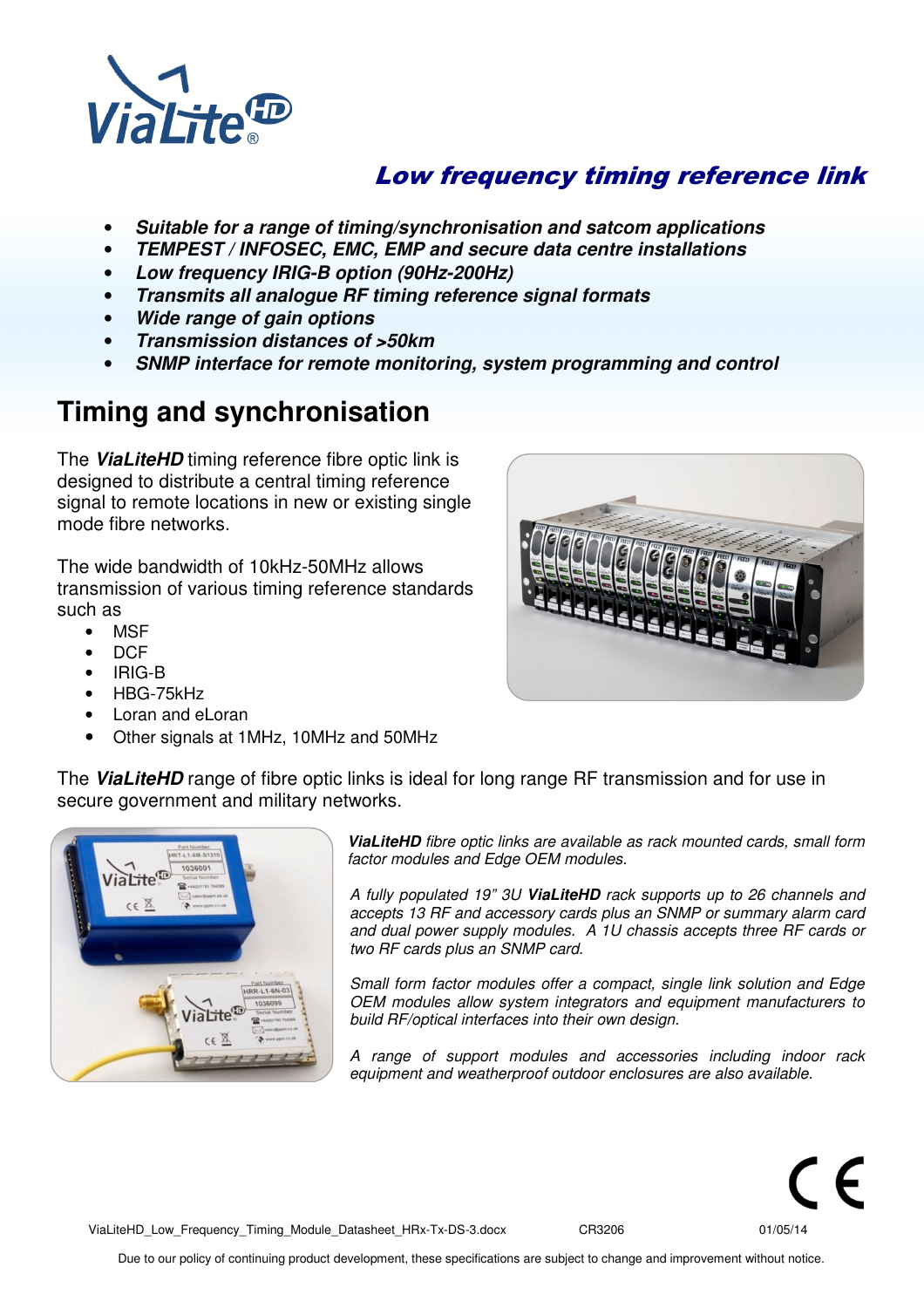

## Low frequency timing reference link

- **Suitable for a range of timing/synchronisation and satcom applications**
- **TEMPEST / INFOSEC, EMC, EMP and secure data centre installations**
- **Low frequency IRIG-B option (90Hz-200Hz)**
- **Transmits all analogue RF timing reference signal formats**
- **Wide range of gain options**
- **Transmission distances of >50km**
- **SNMP interface for remote monitoring, system programming and control**

# **Timing and synchronisation**

The **ViaLiteHD** timing reference fibre optic link is designed to distribute a central timing reference signal to remote locations in new or existing single mode fibre networks.

The wide bandwidth of 10kHz-50MHz allows transmission of various timing reference standards such as

- MSF
- DCF
- IRIG-B
- HBG-75kHz
- Loran and eLoran
- Other signals at 1MHz, 10MHz and 50MHz



The **ViaLiteHD** range of fibre optic links is ideal for long range RF transmission and for use in secure government and military networks.



**ViaLiteHD** fibre optic links are available as rack mounted cards, small form factor modules and Edge OEM modules.

A fully populated 19" 3U **ViaLiteHD** rack supports up to 26 channels and accepts 13 RF and accessory cards plus an SNMP or summary alarm card and dual power supply modules. A 1U chassis accepts three RF cards or two RF cards plus an SNMP card.

Small form factor modules offer a compact, single link solution and Edge OEM modules allow system integrators and equipment manufacturers to build RF/optical interfaces into their own design.

A range of support modules and accessories including indoor rack equipment and weatherproof outdoor enclosures are also available.

ViaLiteHD\_Low\_Frequency\_Timing\_Module\_Datasheet\_HRx-Tx-DS-3.docx CR3206 01/05/14

Due to our policy of continuing product development, these specifications are subject to change and improvement without notice.